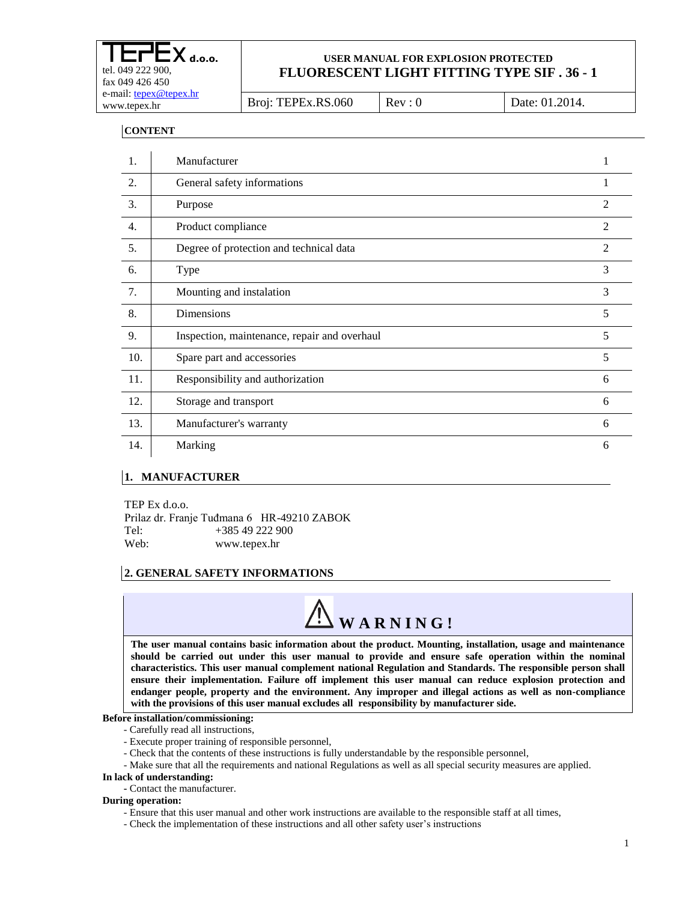| CLCX d.o.o.<br>tel. 049 222 900,<br>fax $049\,426\,450$ | USER MANUAL FOR EXPLOSION PROTECTED<br>FLUORESCENT LIGHT FITTING TYPE SIF. 36 - 1 |        |                |  |
|---------------------------------------------------------|-----------------------------------------------------------------------------------|--------|----------------|--|
| e-mail: tepex@tepex.hr<br>www.tepex.hr                  | Broj: TEPEx.RS.060                                                                | Rev: 0 | Date: 01.2014. |  |
|                                                         |                                                                                   |        |                |  |

**CONTENT**

| 1.               | Manufacturer                                 |                |
|------------------|----------------------------------------------|----------------|
| 2.               | General safety informations                  | 1              |
| 3.               | Purpose                                      | $\mathfrak{D}$ |
| $\overline{4}$ . | Product compliance                           | $\mathfrak{D}$ |
| 5.               | Degree of protection and technical data      | $\overline{2}$ |
| 6.               | Type                                         | 3              |
| 7.               | Mounting and instalation                     | 3              |
| 8.               | Dimensions                                   | 5              |
| 9.               | Inspection, maintenance, repair and overhaul | 5              |
| 10.              | Spare part and accessories                   | 5              |
| 11.              | Responsibility and authorization             | 6              |
| 12.              | Storage and transport                        | 6              |
| 13.              | Manufacturer's warranty                      | 6              |
| 14.              | Marking                                      | 6              |

#### **1. MANUFACTURER**

TEP Ex d.o.o. Prilaz dr. Franje Tuđmana 6 HR-49210 ZABOK Tel: +385 49 222 900 Web: www.tepex.hr

#### **2. GENERAL SAFETY INFORMATIONS**



**The user manual contains basic information about the product. Mounting, installation, usage and maintenance should be carried out under this user manual to provide and ensure safe operation within the nominal characteristics. This user manual complement national Regulation and Standards. The responsible person shall ensure their implementation. Failure off implement this user manual can reduce explosion protection and endanger people, property and the environment. Any improper and illegal actions as well as non-compliance with the provisions of this user manual excludes all responsibility by manufacturer side.**

#### **Before installation/commissioning:**

- Carefully read all instructions,
- Execute proper training of responsible personnel,
- Check that the contents of these instructions is fully understandable by the responsible personnel,
- Make sure that all the requirements and national Regulations as well as all special security measures are applied.

#### **In lack of understanding:**

**-** Contact the manufacturer.

#### **During operation:**

- Ensure that this user manual and other work instructions are available to the responsible staff at all times,
- Check the implementation of these instructions and all other safety user's instructions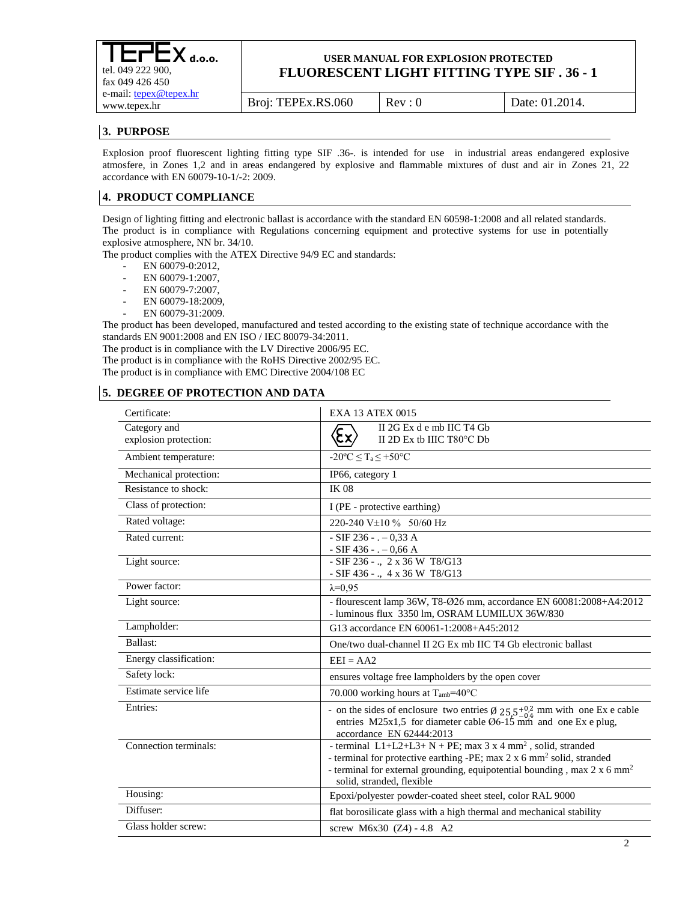**d.o.o.** tel. 049 222 900, fax 049 426 450 e-mail[: tepex@tepex.hr](mailto:tepex@tepex.hr) www.tepex.hr

**USER MANUAL FOR EXPLOSION PROTECTED FLUORESCENT LIGHT FITTING TYPE SIF . 36 - 1**

Broj: TEPEx.RS.060 | Rev : 0 | Date: 01.2014.

# **3. PURPOSE**

Explosion proof fluorescent lighting fitting type SIF .36-. is intended for use in industrial areas endangered explosive atmosfere, in Zones 1,2 and in areas endangered by explosive and flammable mixtures of dust and air in Zones 21, 22 accordance with EN 60079-10-1/-2: 2009.

# **4. PRODUCT COMPLIANCE**

Design of lighting fitting and electronic ballast is accordance with the standard EN 60598-1:2008 and all related standards. The product is in compliance with Regulations concerning equipment and protective systems for use in potentially explosive atmosphere, NN br. 34/10.

The product complies with the ATEX Directive 94/9 EC and standards:

- $-$  EN 60079-0:2012,
- EN 60079-1:2007,
- EN 60079-7:2007,
- EN 60079-18:2009,
- EN 60079-31:2009.

The product has been developed, manufactured and tested according to the existing state of technique accordance with the standards EN 9001:2008 and EN ISO / IEC 80079-34:2011.

The product is in compliance with the LV Directive 2006/95 EC.

The product is in compliance with the RoHS Directive 2002/95 EC.

The product is in compliance with EMC Directive 2004/108 EC

## **5. DEGREE OF PROTECTION AND DATA**

| Certificate:           | <b>EXA 13 ATEX 0015</b>                                                                                                                                                                                                                                                            |
|------------------------|------------------------------------------------------------------------------------------------------------------------------------------------------------------------------------------------------------------------------------------------------------------------------------|
| Category and           | II 2G Ex d e mb IIC T4 Gb<br>$\langle \! \! \epsilon_{\mathsf{x}} \rangle$                                                                                                                                                                                                         |
| explosion protection:  | II 2D Ex tb IIIC T80°C Db                                                                                                                                                                                                                                                          |
| Ambient temperature:   | $-20^{\circ}$ C $\leq$ T <sub>a</sub> $\leq$ +50 $^{\circ}$ C                                                                                                                                                                                                                      |
| Mechanical protection: | IP66, category 1                                                                                                                                                                                                                                                                   |
| Resistance to shock:   | <b>IK 08</b>                                                                                                                                                                                                                                                                       |
| Class of protection:   | I (PE - protective earthing)                                                                                                                                                                                                                                                       |
| Rated voltage:         | 220-240 V±10 % 50/60 Hz                                                                                                                                                                                                                                                            |
| Rated current:         | $-SIF 236 - -0,33 A$                                                                                                                                                                                                                                                               |
|                        | - SIF 436 - . $-0,66$ A                                                                                                                                                                                                                                                            |
| Light source:          | - SIF 236 - ., 2 x 36 W T8/G13<br>- SIF 436 - ., 4 x 36 W T8/G13                                                                                                                                                                                                                   |
| Power factor:          | $\lambda=0.95$                                                                                                                                                                                                                                                                     |
|                        | - flourescent lamp 36W, T8-Ø26 mm, accordance EN 60081:2008+A4:2012                                                                                                                                                                                                                |
| Light source:          | - luminous flux 3350 lm, OSRAM LUMILUX 36W/830                                                                                                                                                                                                                                     |
| Lampholder:            | G13 accordance EN 60061-1:2008+A45:2012                                                                                                                                                                                                                                            |
| Ballast:               | One/two dual-channel II 2G Ex mb IIC T4 Gb electronic ballast                                                                                                                                                                                                                      |
| Energy classification: | $EEI = AA2$                                                                                                                                                                                                                                                                        |
| Safety lock:           | ensures voltage free lampholders by the open cover                                                                                                                                                                                                                                 |
| Estimate service life  | 70.000 working hours at $T_{amb} = 40^{\circ}C$                                                                                                                                                                                                                                    |
| Entries:               | - on the sides of enclosure two entries $\emptyset$ 25.5+0.2 mm with one Ex e cable<br>entries M25x1,5 for diameter cable $\overline{06-15}$ mm and one Ex e plug,<br>accordance EN 62444:2013                                                                                     |
| Connection terminals:  | - terminal $L1+L2+L3+N+PE$ ; max 3 x 4 mm <sup>2</sup> , solid, stranded<br>- terminal for protective earthing -PE; max 2 x 6 mm <sup>2</sup> solid, stranded<br>- terminal for external grounding, equipotential bounding, max 2 x 6 mm <sup>2</sup><br>solid, stranded, flexible |
| Housing:               | Epoxi/polyester powder-coated sheet steel, color RAL 9000                                                                                                                                                                                                                          |
| Diffuser:              | flat borosilicate glass with a high thermal and mechanical stability                                                                                                                                                                                                               |
| Glass holder screw:    | screw M6x30 (Z4) - 4.8 A2                                                                                                                                                                                                                                                          |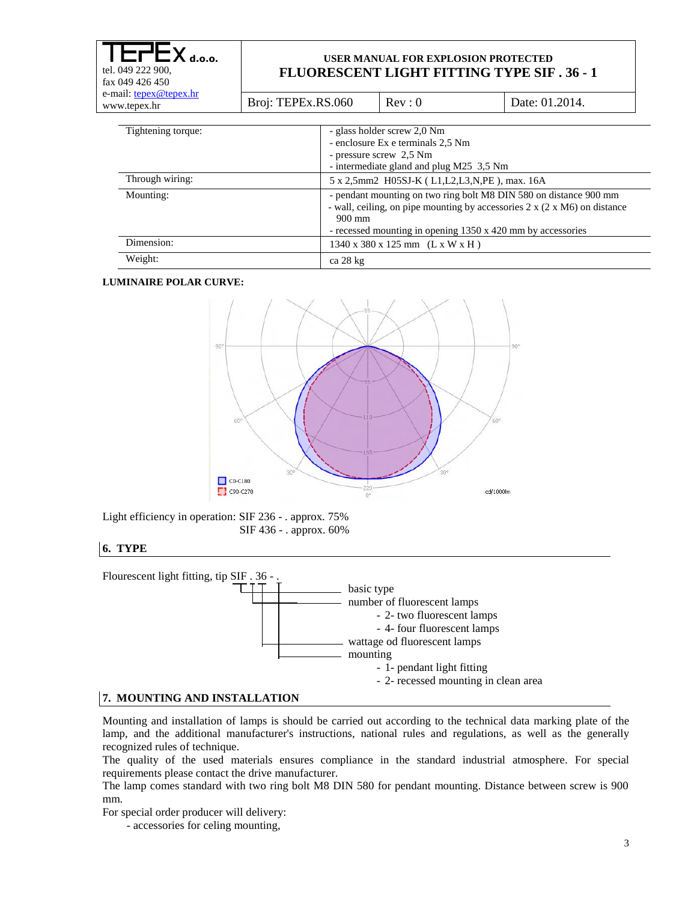| $X_{\text{ d.o.o.}}$<br>tel. 049 222 900,<br>fax 049 426 450<br>e-mail: tepex@tepex.hr<br>www.tepex.hr | USER MANUAL FOR EXPLOSION PROTECTED<br><b>FLUORESCENT LIGHT FITTING TYPE SIF.36 - 1</b> |                                                                                                                                         |                                                                                                                                                                                                                           |  |
|--------------------------------------------------------------------------------------------------------|-----------------------------------------------------------------------------------------|-----------------------------------------------------------------------------------------------------------------------------------------|---------------------------------------------------------------------------------------------------------------------------------------------------------------------------------------------------------------------------|--|
|                                                                                                        | Broj: TEPEx.RS.060                                                                      | Rev: 0                                                                                                                                  | Date: 01.2014.                                                                                                                                                                                                            |  |
| Tightening torque:                                                                                     |                                                                                         | - glass holder screw 2,0 Nm<br>- enclosure Ex e terminals 2.5 Nm<br>- pressure screw 2,5 Nm<br>- intermediate gland and plug M25 3,5 Nm |                                                                                                                                                                                                                           |  |
| Through wiring:                                                                                        |                                                                                         | 5 x 2,5mm2 H05SJ-K (L1, L2, L3, N, PE), max. 16A                                                                                        |                                                                                                                                                                                                                           |  |
| Mounting:                                                                                              | $900$ mm                                                                                |                                                                                                                                         | - pendant mounting on two ring bolt M8 DIN 580 on distance 900 mm<br>- wall, ceiling, on pipe mounting by accessories $2 \times (2 \times M6)$ on distance<br>- recessed mounting in opening 1350 x 420 mm by accessories |  |
| Dimension:                                                                                             |                                                                                         | $1340 \times 380 \times 125$ mm (L x W x H)                                                                                             |                                                                                                                                                                                                                           |  |
| Weight:                                                                                                | ca 28 kg                                                                                |                                                                                                                                         |                                                                                                                                                                                                                           |  |

#### **LUMINAIRE POLAR CURVE:**



Light efficiency in operation: SIF 236 - . approx. 75% SIF 436 - . approx. 60%

#### **6. TYPE**



#### **7. MOUNTING AND INSTALLATION**

Mounting and installation of lamps is should be carried out according to the technical data marking plate of the lamp, and the additional manufacturer's instructions, national rules and regulations, as well as the generally recognized rules of technique.

The quality of the used materials ensures compliance in the standard industrial atmosphere. For special requirements please contact the drive manufacturer.

The lamp comes standard with two ring bolt M8 DIN 580 for pendant mounting. Distance between screw is 900 mm.

For special order producer will delivery:

- accessories for celing mounting,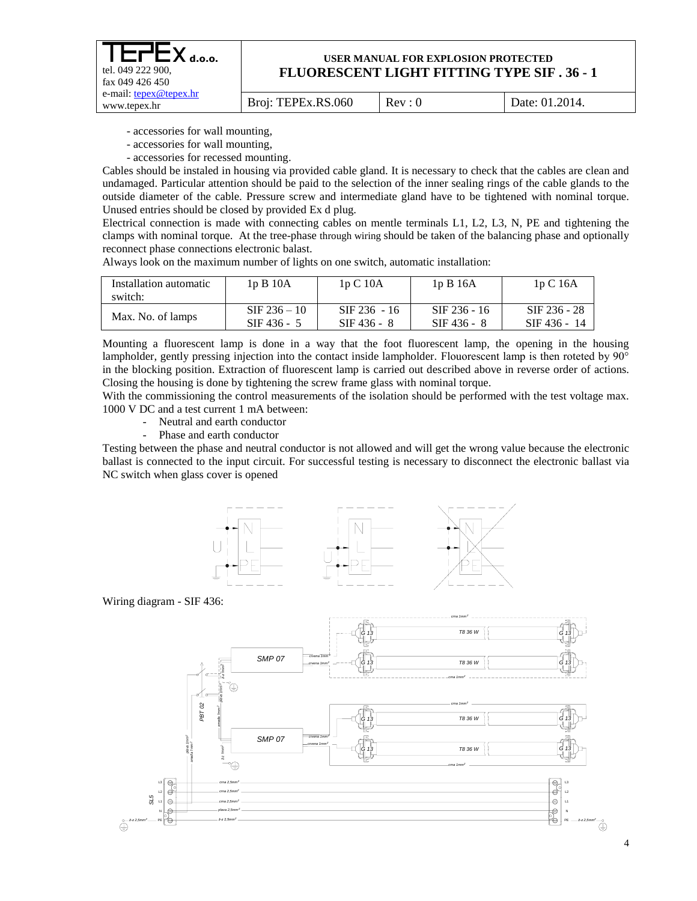| $I$ $E$ r $E$ $X$ d.o.o.<br>tel. 049 222 900.<br>fax $049426450$ |                    | <b>USER MANUAL FOR EXPLOSION PROTECTED</b><br><b>FLUORESCENT LIGHT FITTING TYPE SIF.36 - 1</b> |                |
|------------------------------------------------------------------|--------------------|------------------------------------------------------------------------------------------------|----------------|
| e-mail: tepex@tepex.hr<br>www.tepex.hr                           | Broj: TEPEx.RS.060 | Rev: 0                                                                                         | Date: 01.2014. |

- accessories for wall mounting,

- accessories for wall mounting,
- accessories for recessed mounting.

Cables should be instaled in housing via provided cable gland. It is necessary to check that the cables are clean and undamaged. Particular attention should be paid to the selection of the inner sealing rings of the cable glands to the outside diameter of the cable. Pressure screw and intermediate gland have to be tightened with nominal torque. Unused entries should be closed by provided Ex d plug.

Electrical connection is made with connecting cables on mentle terminals L1, L2, L3, N, PE and tightening the clamps with nominal torque. At the tree-phase through wiring should be taken of the balancing phase and optionally reconnect phase connections electronic balast.

| Installation automatic<br>switch: | 1pB10A         | 1pC10A         | 1pB16A         | 1pC16A         |
|-----------------------------------|----------------|----------------|----------------|----------------|
| Max. No. of lamps                 | $SIF 236 - 10$ | $SIF 236 - 16$ | $SIF 236 - 16$ | $SIF 236 - 28$ |
|                                   | $SIF 436 - 5$  | $SIF 436 - 8$  | $SIF 436 - 8$  | SIF 436 - 14   |

Always look on the maximum number of lights on one switch, automatic installation:

Mounting a fluorescent lamp is done in a way that the foot fluorescent lamp, the opening in the housing lampholder, gently pressing injection into the contact inside lampholder. Flouorescent lamp is then roteted by 90° in the blocking position. Extraction of fluorescent lamp is carried out described above in reverse order of actions. Closing the housing is done by tightening the screw frame glass with nominal torque.

With the commissioning the control measurements of the isolation should be performed with the test voltage max. 1000 V DC and a test current 1 mA between:

- Neutral and earth conductor
- Phase and earth conductor

Testing between the phase and neutral conductor is not allowed and will get the wrong value because the electronic ballast is connected to the input circuit. For successful testing is necessary to disconnect the electronic ballast via NC switch when glass cover is opened



Wiring diagram - SIF 436:

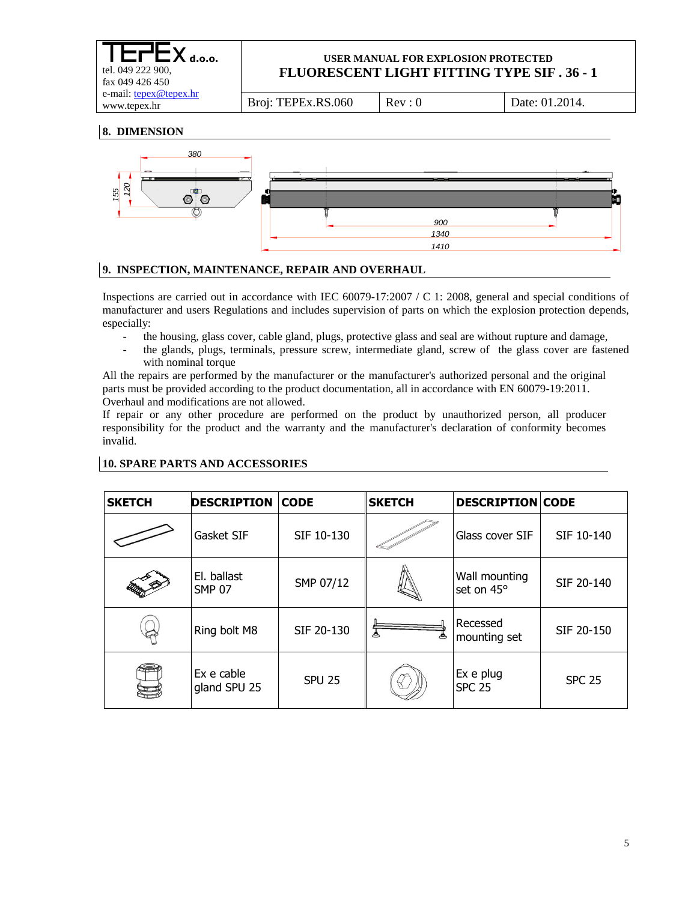| $LTLX_{d.o.o.}$<br>tel. 049 222 900,<br>fax 049 426 450 | USER MANUAL FOR EXPLOSION PROTECTED<br><b>FLUORESCENT LIGHT FITTING TYPE SIF. 36 - 1</b> |        |                |  |
|---------------------------------------------------------|------------------------------------------------------------------------------------------|--------|----------------|--|
| e-mail: tepex@tepex.hr<br>www.tepex.hr                  | Broj: TEPEx.RS.060                                                                       | Rev: 0 | Date: 01.2014. |  |

**8. DIMENSION**



## **9. INSPECTION, MAINTENANCE, REPAIR AND OVERHAUL**

Inspections are carried out in accordance with IEC 60079-17:2007 / C 1: 2008, general and special conditions of manufacturer and users Regulations and includes supervision of parts on which the explosion protection depends, especially:

- the housing, glass cover, cable gland, plugs, protective glass and seal are without rupture and damage,
- the glands, plugs, terminals, pressure screw, intermediate gland, screw of the glass cover are fastened with nominal torque

All the repairs are performed by the manufacturer or the manufacturer's authorized personal and the original parts must be provided according to the product documentation, all in accordance with EN 60079-19:2011. Overhaul and modifications are not allowed.

If repair or any other procedure are performed on the product by unauthorized person, all producer responsibility for the product and the warranty and the manufacturer's declaration of conformity becomes invalid.

| <b>SKETCH</b> | <b>DESCRIPTION</b>           | <b>CODE</b>   | <b>SKETCH</b> | <b>DESCRIPTION CODE</b>     |               |
|---------------|------------------------------|---------------|---------------|-----------------------------|---------------|
|               | Gasket SIF                   | SIF 10-130    |               | Glass cover SIF             | SIF 10-140    |
|               | El. ballast<br><b>SMP 07</b> | SMP 07/12     |               | Wall mounting<br>set on 45° | SIF 20-140    |
|               | Ring bolt M8                 | SIF 20-130    |               | Recessed<br>mounting set    | SIF 20-150    |
|               | Ex e cable<br>gland SPU 25   | <b>SPU 25</b> |               | Ex e plug<br><b>SPC 25</b>  | <b>SPC 25</b> |

## **10. SPARE PARTS AND ACCESSORIES**